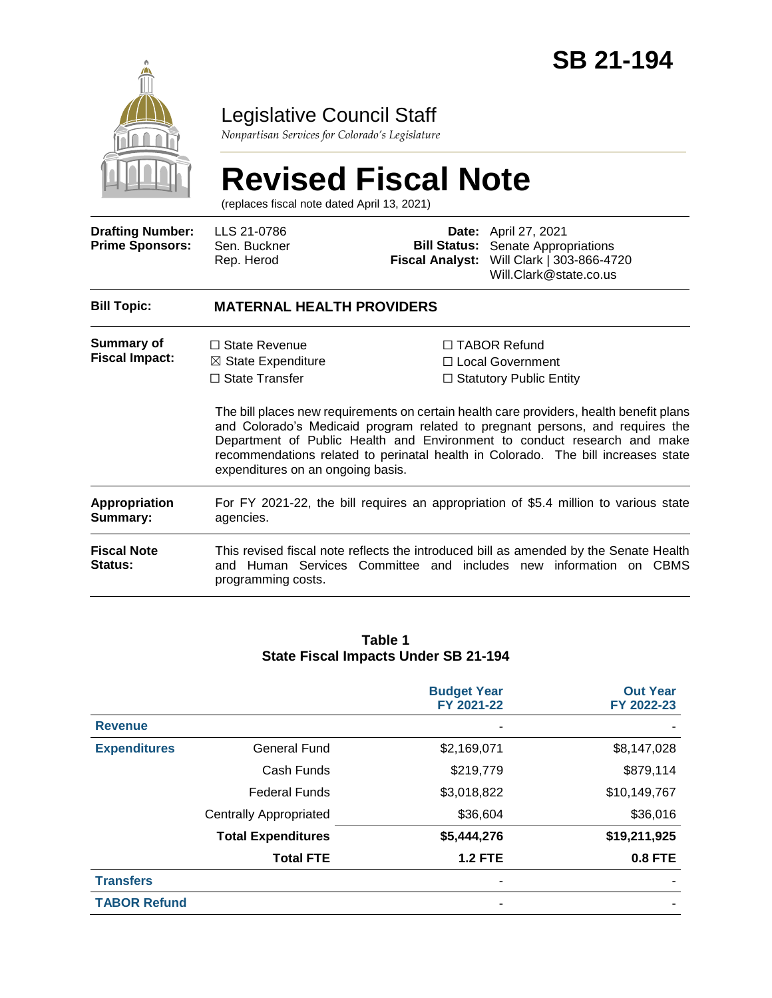

### Legislative Council Staff

*Nonpartisan Services for Colorado's Legislature*

# **Revised Fiscal Note**

(replaces fiscal note dated April 13, 2021)

| <b>Drafting Number:</b><br><b>Prime Sponsors:</b> | LLS 21-0786<br>Sen. Buckner<br>Rep. Herod                                                                           | <b>Fiscal Analyst:</b> | Date: April 27, 2021<br><b>Bill Status:</b> Senate Appropriations<br>Will Clark   303-866-4720<br>Will.Clark@state.co.us                                                                                                                                                                                                                                                                                            |  |  |
|---------------------------------------------------|---------------------------------------------------------------------------------------------------------------------|------------------------|---------------------------------------------------------------------------------------------------------------------------------------------------------------------------------------------------------------------------------------------------------------------------------------------------------------------------------------------------------------------------------------------------------------------|--|--|
| <b>Bill Topic:</b>                                | <b>MATERNAL HEALTH PROVIDERS</b>                                                                                    |                        |                                                                                                                                                                                                                                                                                                                                                                                                                     |  |  |
| Summary of<br><b>Fiscal Impact:</b>               | $\Box$ State Revenue<br>$\boxtimes$ State Expenditure<br>$\Box$ State Transfer<br>expenditures on an ongoing basis. |                        | □ TABOR Refund<br>□ Local Government<br>$\Box$ Statutory Public Entity<br>The bill places new requirements on certain health care providers, health benefit plans<br>and Colorado's Medicaid program related to pregnant persons, and requires the<br>Department of Public Health and Environment to conduct research and make<br>recommendations related to perinatal health in Colorado. The bill increases state |  |  |
| Appropriation<br>Summary:                         | For FY 2021-22, the bill requires an appropriation of \$5.4 million to various state<br>agencies.                   |                        |                                                                                                                                                                                                                                                                                                                                                                                                                     |  |  |
| <b>Fiscal Note</b><br><b>Status:</b>              | and Human Services<br>programming costs.                                                                            |                        | This revised fiscal note reflects the introduced bill as amended by the Senate Health<br>Committee and includes new information on CBMS                                                                                                                                                                                                                                                                             |  |  |

#### **Table 1 State Fiscal Impacts Under SB 21-194**

|                     |                               | <b>Budget Year</b><br>FY 2021-22 | <b>Out Year</b><br>FY 2022-23 |
|---------------------|-------------------------------|----------------------------------|-------------------------------|
| <b>Revenue</b>      |                               |                                  |                               |
| <b>Expenditures</b> | <b>General Fund</b>           | \$2,169,071                      | \$8,147,028                   |
|                     | Cash Funds                    | \$219,779                        | \$879,114                     |
|                     | <b>Federal Funds</b>          | \$3,018,822                      | \$10,149,767                  |
|                     | <b>Centrally Appropriated</b> | \$36,604                         | \$36,016                      |
|                     | <b>Total Expenditures</b>     | \$5,444,276                      | \$19,211,925                  |
|                     | <b>Total FTE</b>              | <b>1.2 FTE</b>                   | <b>0.8 FTE</b>                |
| <b>Transfers</b>    |                               |                                  |                               |
| <b>TABOR Refund</b> |                               |                                  |                               |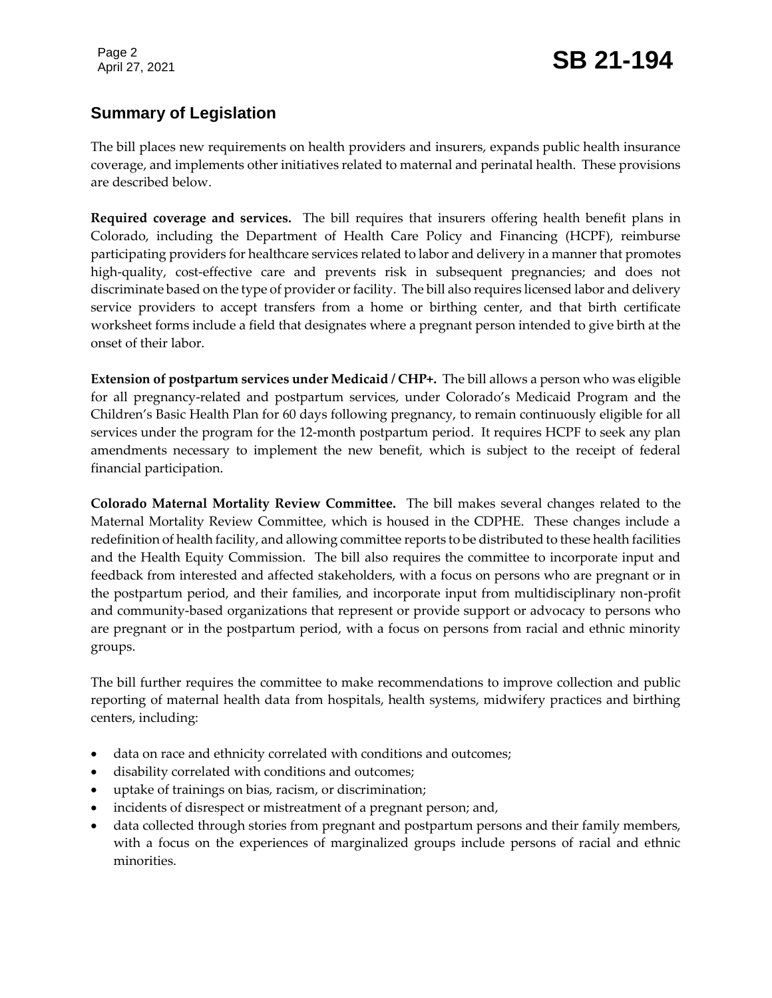## Page 2<br>April 27, 2021 **SB 21-194**

#### **Summary of Legislation**

The bill places new requirements on health providers and insurers, expands public health insurance coverage, and implements other initiatives related to maternal and perinatal health. These provisions are described below.

**Required coverage and services.** The bill requires that insurers offering health benefit plans in Colorado, including the Department of Health Care Policy and Financing (HCPF), reimburse participating providers for healthcare services related to labor and delivery in a manner that promotes high-quality, cost-effective care and prevents risk in subsequent pregnancies; and does not discriminate based on the type of provider or facility. The bill also requires licensed labor and delivery service providers to accept transfers from a home or birthing center, and that birth certificate worksheet forms include a field that designates where a pregnant person intended to give birth at the onset of their labor.

**Extension of postpartum services under Medicaid / CHP+.** The bill allows a person who was eligible for all pregnancy-related and postpartum services, under Colorado's Medicaid Program and the Children's Basic Health Plan for 60 days following pregnancy, to remain continuously eligible for all services under the program for the 12-month postpartum period. It requires HCPF to seek any plan amendments necessary to implement the new benefit, which is subject to the receipt of federal financial participation.

**Colorado Maternal Mortality Review Committee.** The bill makes several changes related to the Maternal Mortality Review Committee, which is housed in the CDPHE. These changes include a redefinition of health facility, and allowing committee reports to be distributed to these health facilities and the Health Equity Commission. The bill also requires the committee to incorporate input and feedback from interested and affected stakeholders, with a focus on persons who are pregnant or in the postpartum period, and their families, and incorporate input from multidisciplinary non-profit and community-based organizations that represent or provide support or advocacy to persons who are pregnant or in the postpartum period, with a focus on persons from racial and ethnic minority groups.

The bill further requires the committee to make recommendations to improve collection and public reporting of maternal health data from hospitals, health systems, midwifery practices and birthing centers, including:

- data on race and ethnicity correlated with conditions and outcomes;
- disability correlated with conditions and outcomes;
- uptake of trainings on bias, racism, or discrimination;
- incidents of disrespect or mistreatment of a pregnant person; and,
- data collected through stories from pregnant and postpartum persons and their family members, with a focus on the experiences of marginalized groups include persons of racial and ethnic minorities.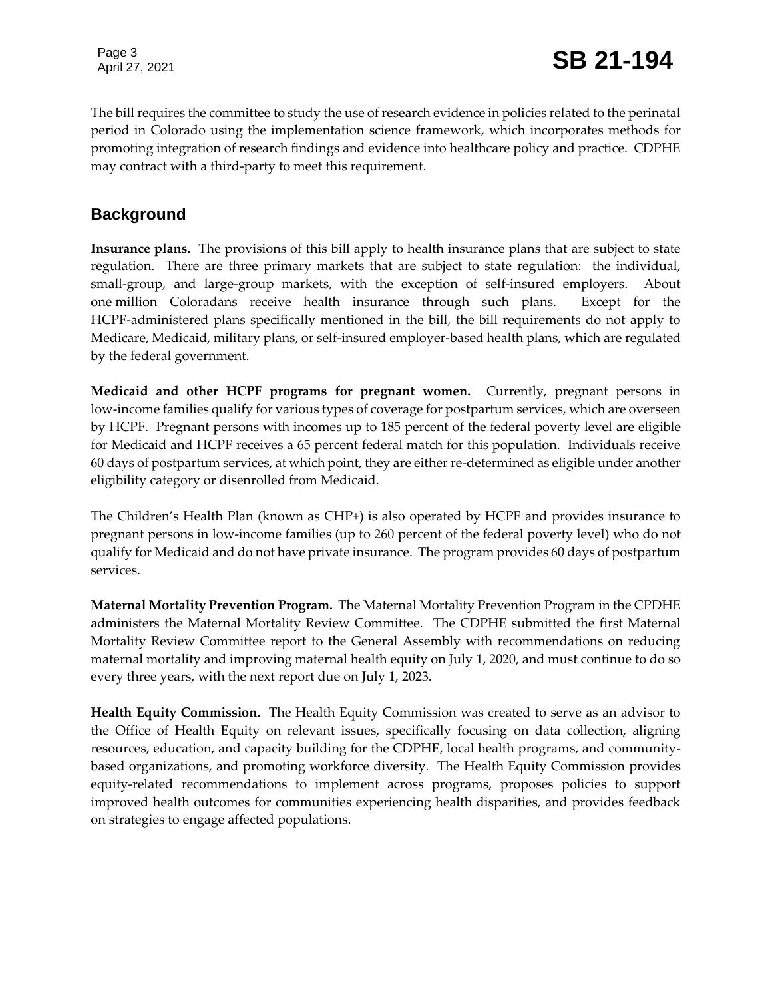The bill requires the committee to study the use of research evidence in policies related to the perinatal period in Colorado using the implementation science framework, which incorporates methods for promoting integration of research findings and evidence into healthcare policy and practice. CDPHE may contract with a third-party to meet this requirement.

#### **Background**

**Insurance plans.** The provisions of this bill apply to health insurance plans that are subject to state regulation. There are three primary markets that are subject to state regulation: the individual, small-group, and large-group markets, with the exception of self-insured employers. About one million Coloradans receive health insurance through such plans. Except for the HCPF-administered plans specifically mentioned in the bill, the bill requirements do not apply to Medicare, Medicaid, military plans, or self-insured employer-based health plans, which are regulated by the federal government.

**Medicaid and other HCPF programs for pregnant women.** Currently, pregnant persons in low-income families qualify for various types of coverage for postpartum services, which are overseen by HCPF. Pregnant persons with incomes up to 185 percent of the federal poverty level are eligible for Medicaid and HCPF receives a 65 percent federal match for this population. Individuals receive 60 days of postpartum services, at which point, they are either re-determined as eligible under another eligibility category or disenrolled from Medicaid.

The Children's Health Plan (known as CHP+) is also operated by HCPF and provides insurance to pregnant persons in low-income families (up to 260 percent of the federal poverty level) who do not qualify for Medicaid and do not have private insurance. The program provides 60 days of postpartum services.

**Maternal Mortality Prevention Program.** The Maternal Mortality Prevention Program in the CPDHE administers the Maternal Mortality Review Committee. The CDPHE submitted the first Maternal Mortality Review Committee report to the General Assembly with recommendations on reducing maternal mortality and improving maternal health equity on July 1, 2020, and must continue to do so every three years, with the next report due on July 1, 2023.

**Health Equity Commission.** The Health Equity Commission was created to serve as an advisor to the Office of Health Equity on relevant issues, specifically focusing on data collection, aligning resources, education, and capacity building for the CDPHE, local health programs, and communitybased organizations, and promoting workforce diversity. The Health Equity Commission provides equity-related recommendations to implement across programs, proposes policies to support improved health outcomes for communities experiencing health disparities, and provides feedback on strategies to engage affected populations.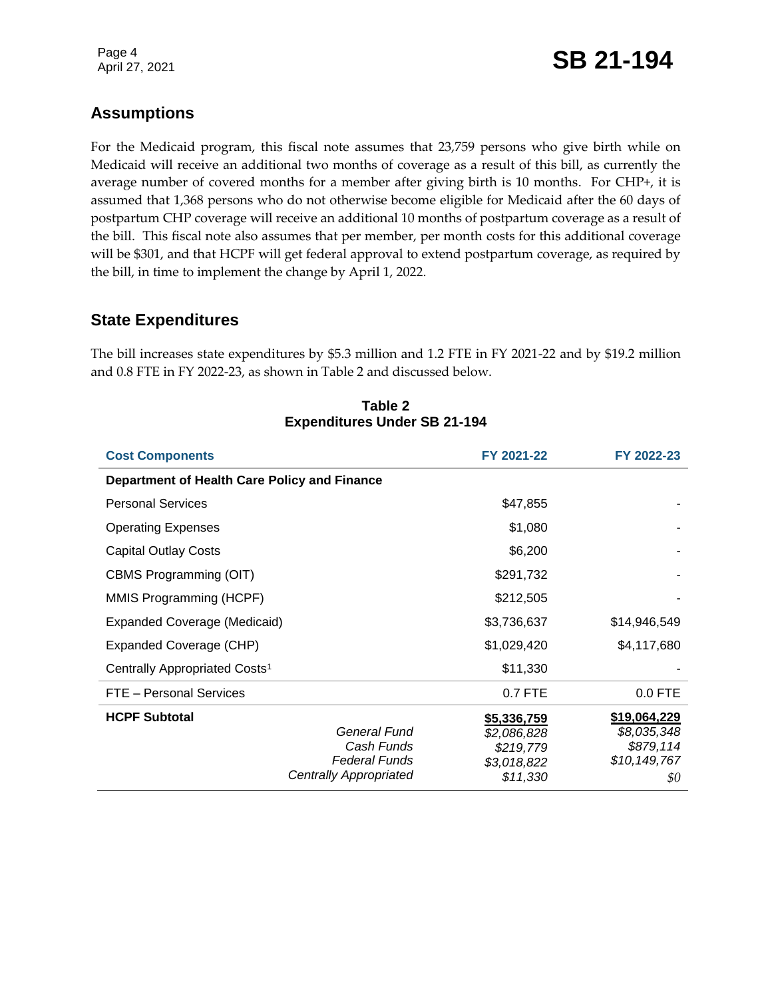### Page 4<br>April 27, 2021 **SB 21-194**

#### **Assumptions**

For the Medicaid program, this fiscal note assumes that 23,759 persons who give birth while on Medicaid will receive an additional two months of coverage as a result of this bill, as currently the average number of covered months for a member after giving birth is 10 months. For CHP+, it is assumed that 1,368 persons who do not otherwise become eligible for Medicaid after the 60 days of postpartum CHP coverage will receive an additional 10 months of postpartum coverage as a result of the bill. This fiscal note also assumes that per member, per month costs for this additional coverage will be \$301, and that HCPF will get federal approval to extend postpartum coverage, as required by the bill, in time to implement the change by April 1, 2022.

#### **State Expenditures**

The bill increases state expenditures by \$5.3 million and 1.2 FTE in FY 2021-22 and by \$19.2 million and 0.8 FTE in FY 2022-23, as shown in Table 2 and discussed below.

| <b>Cost Components</b>                                                                               | FY 2021-22                                                         | FY 2022-23                                                        |
|------------------------------------------------------------------------------------------------------|--------------------------------------------------------------------|-------------------------------------------------------------------|
| Department of Health Care Policy and Finance                                                         |                                                                    |                                                                   |
| <b>Personal Services</b>                                                                             | \$47,855                                                           |                                                                   |
| <b>Operating Expenses</b>                                                                            | \$1,080                                                            |                                                                   |
| <b>Capital Outlay Costs</b>                                                                          | \$6,200                                                            |                                                                   |
| CBMS Programming (OIT)                                                                               | \$291,732                                                          |                                                                   |
| MMIS Programming (HCPF)                                                                              | \$212,505                                                          |                                                                   |
| Expanded Coverage (Medicaid)                                                                         | \$3,736,637                                                        | \$14,946,549                                                      |
| Expanded Coverage (CHP)                                                                              | \$1,029,420                                                        | \$4,117,680                                                       |
| Centrally Appropriated Costs <sup>1</sup>                                                            | \$11,330                                                           |                                                                   |
| FTE - Personal Services                                                                              | 0.7 FTE                                                            | $0.0$ FTE                                                         |
| <b>HCPF Subtotal</b><br>General Fund<br>Cash Funds<br><b>Federal Funds</b><br>Centrally Appropriated | \$5,336,759<br>\$2,086,828<br>\$219,779<br>\$3,018,822<br>\$11,330 | \$19,064,229<br>\$8,035,348<br>\$879,114<br>\$10, 149, 767<br>\$0 |

#### **Table 2 Expenditures Under SB 21-194**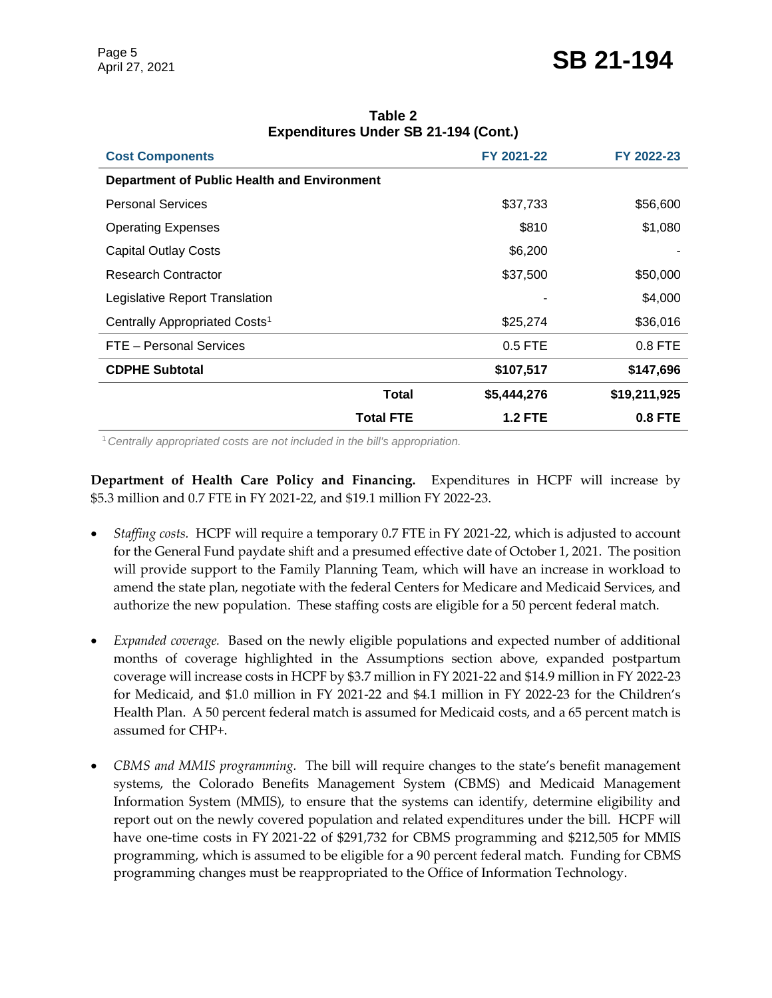| FY 2021-22     | FY 2022-23     |
|----------------|----------------|
|                |                |
| \$37,733       | \$56,600       |
| \$810          | \$1,080        |
| \$6,200        |                |
| \$37,500       | \$50,000       |
|                | \$4,000        |
| \$25,274       | \$36,016       |
| 0.5 FTE        | $0.8$ FTE      |
| \$107,517      | \$147,696      |
| \$5,444,276    | \$19,211,925   |
| <b>1.2 FTE</b> | <b>0.8 FTE</b> |
|                |                |

**Table 2 Expenditures Under SB 21-194 (Cont.)**

<sup>1</sup>*Centrally appropriated costs are not included in the bill's appropriation.*

**Department of Health Care Policy and Financing.** Expenditures in HCPF will increase by \$5.3 million and 0.7 FTE in FY 2021-22, and \$19.1 million FY 2022-23.

- *Staffing costs.* HCPF will require a temporary 0.7 FTE in FY 2021-22, which is adjusted to account for the General Fund paydate shift and a presumed effective date of October 1, 2021. The position will provide support to the Family Planning Team, which will have an increase in workload to amend the state plan, negotiate with the federal Centers for Medicare and Medicaid Services, and authorize the new population. These staffing costs are eligible for a 50 percent federal match.
- *Expanded coverage.* Based on the newly eligible populations and expected number of additional months of coverage highlighted in the Assumptions section above, expanded postpartum coverage will increase costs in HCPF by \$3.7 million in FY 2021-22 and \$14.9 million in FY 2022-23 for Medicaid, and \$1.0 million in FY 2021-22 and \$4.1 million in FY 2022-23 for the Children's Health Plan. A 50 percent federal match is assumed for Medicaid costs, and a 65 percent match is assumed for CHP+.
- *CBMS and MMIS programming.* The bill will require changes to the state's benefit management systems, the Colorado Benefits Management System (CBMS) and Medicaid Management Information System (MMIS), to ensure that the systems can identify, determine eligibility and report out on the newly covered population and related expenditures under the bill. HCPF will have one-time costs in FY 2021-22 of \$291,732 for CBMS programming and \$212,505 for MMIS programming, which is assumed to be eligible for a 90 percent federal match. Funding for CBMS programming changes must be reappropriated to the Office of Information Technology.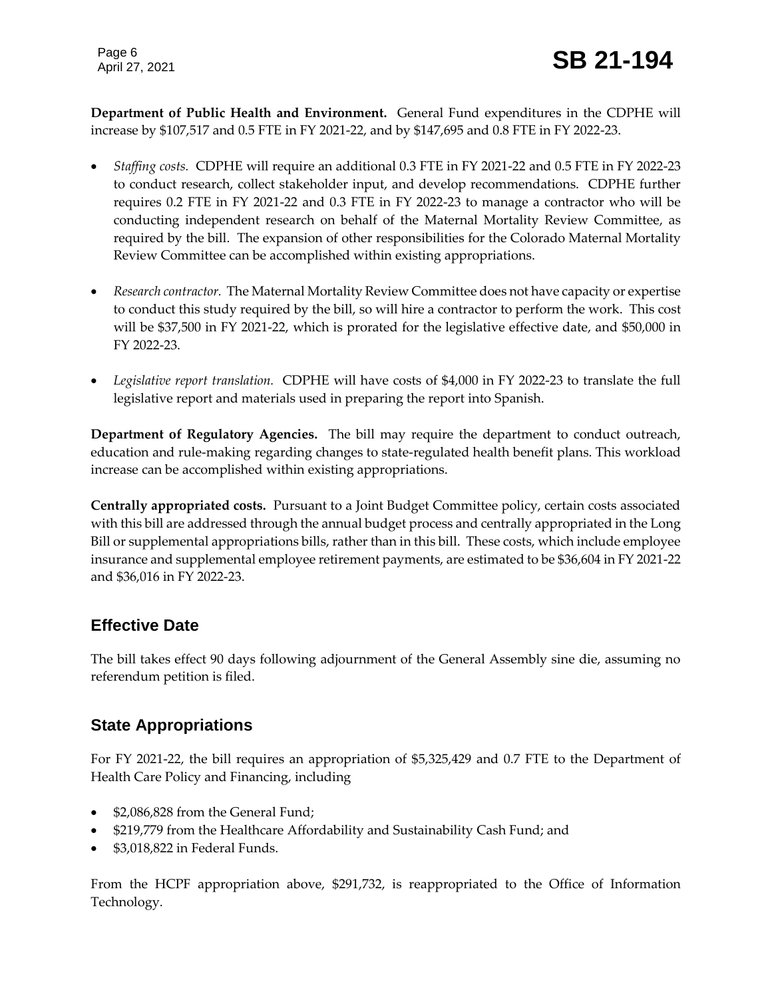**Department of Public Health and Environment.** General Fund expenditures in the CDPHE will increase by \$107,517 and 0.5 FTE in FY 2021-22, and by \$147,695 and 0.8 FTE in FY 2022-23.

- *Staffing costs.* CDPHE will require an additional 0.3 FTE in FY 2021-22 and 0.5 FTE in FY 2022-23 to conduct research, collect stakeholder input, and develop recommendations. CDPHE further requires 0.2 FTE in FY 2021-22 and 0.3 FTE in FY 2022-23 to manage a contractor who will be conducting independent research on behalf of the Maternal Mortality Review Committee, as required by the bill. The expansion of other responsibilities for the Colorado Maternal Mortality Review Committee can be accomplished within existing appropriations.
- *Research contractor.* The Maternal Mortality Review Committee does not have capacity or expertise to conduct this study required by the bill, so will hire a contractor to perform the work. This cost will be \$37,500 in FY 2021-22, which is prorated for the legislative effective date, and \$50,000 in FY 2022-23.
- *Legislative report translation.* CDPHE will have costs of \$4,000 in FY 2022-23 to translate the full legislative report and materials used in preparing the report into Spanish.

**Department of Regulatory Agencies.** The bill may require the department to conduct outreach, education and rule-making regarding changes to state-regulated health benefit plans. This workload increase can be accomplished within existing appropriations.

**Centrally appropriated costs.** Pursuant to a Joint Budget Committee policy, certain costs associated with this bill are addressed through the annual budget process and centrally appropriated in the Long Bill or supplemental appropriations bills, rather than in this bill. These costs, which include employee insurance and supplemental employee retirement payments, are estimated to be \$36,604 in FY 2021-22 and \$36,016 in FY 2022-23.

#### **Effective Date**

The bill takes effect 90 days following adjournment of the General Assembly sine die, assuming no referendum petition is filed.

#### **State Appropriations**

For FY 2021-22, the bill requires an appropriation of \$5,325,429 and 0.7 FTE to the Department of Health Care Policy and Financing, including

- \$2,086,828 from the General Fund;
- \$219,779 from the Healthcare Affordability and Sustainability Cash Fund; and
- \$3,018,822 in Federal Funds.

From the HCPF appropriation above, \$291,732, is reappropriated to the Office of Information Technology.